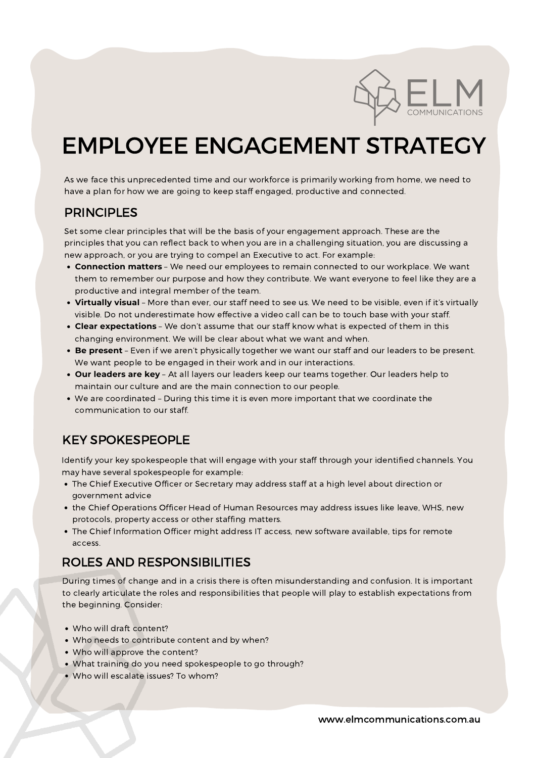

# EMPLOYEE ENGAGEMENT STRATEGY

As we face this unprecedented time and our workforce is primarily working from home, we need to have a plan for how we are going to keep staff engaged, productive and connected.

- **Connection matters** We need our employees to remain connected to our workplace. We want them to remember our purpose and how they contribute. We want everyone to feel like they are a productive and integral member of the team.
- **Virtually visual** More than ever, our staff need to see us. We need to be visible, even if it's virtually visible. Do not underestimate how effective a video call can be to touch base with your staff.
- **Clear expectations** We don't assume that our staff know what is expected of them in this changing environment. We will be clear about what we want and when.
- **Be present** Even if we aren't physically together we want our staff and our leaders to be present. We want people to be engaged in their work and in our interactions.
- **Our leaders are key** At all layers our leaders keep our teams together. Our leaders help to maintain our culture and are the main connection to our people.
- We are coordinated During this time it is even more important that we coordinate the

Set some clear principles that will be the basis of your engagement approach. These are the principles that you can reflect back to when you are in a challenging situation, you are discussing a new approach, or you are trying to compel an Executive to act. For example:

## PRINCIPLES

- The Chief Executive Officer or Secretary may address staff at a high level about direction or government advice
- the Chief Operations Officer Head of Human Resources may address issues like leave, WHS, new protocols, property access or other staffing matters.
- The Chief Information Officer might address IT access, new software available, tips for remote access.

Identify your key spokespeople that will engage with your staff through your identified channels. You may have several spokespeople for example:

# KEY SPOKESPEOPLE

- Who will draft content?
- Who needs to contribute content and by when?
- Who will approve the content?
- What training do you need spokespeople to go through?
- Who will escalate issues? To whom?

During times of change and in a crisis there is often misunderstanding and confusion. It is important to clearly articulate the roles and responsibilities that people will play to establish expectations from the beginning. Consider:

## ROLES AND RESPONSIBILITIES

www.elmcommunications.com.au